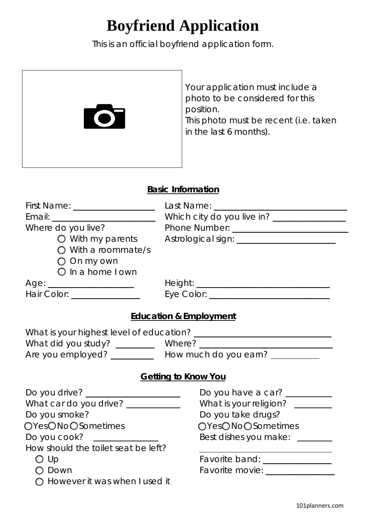## **Boyfriend Application**

This is an official boyfriend application form.

|                                                              | Your application must include a<br>photo to be considered for this<br>position.<br>This photo must be recent (i.e. taken<br>in the last 6 months). |  |
|--------------------------------------------------------------|----------------------------------------------------------------------------------------------------------------------------------------------------|--|
| <b>Basic Information</b>                                     |                                                                                                                                                    |  |
|                                                              |                                                                                                                                                    |  |
|                                                              |                                                                                                                                                    |  |
| Where do you live?                                           |                                                                                                                                                    |  |
|                                                              |                                                                                                                                                    |  |
| $\bigcirc$ With a roommate/s                                 |                                                                                                                                                    |  |
| $\bigcirc$ On my own                                         |                                                                                                                                                    |  |
| $\bigcirc$ in a home I own                                   |                                                                                                                                                    |  |
|                                                              |                                                                                                                                                    |  |
| Hair Color: ________________                                 |                                                                                                                                                    |  |
| <b>Education &amp; Employment</b>                            |                                                                                                                                                    |  |
|                                                              |                                                                                                                                                    |  |
| What did you study? _________ Where?                         |                                                                                                                                                    |  |
| Are you employed? __________ How much do you earn? _________ |                                                                                                                                                    |  |
|                                                              |                                                                                                                                                    |  |
| <b>Getting to Know You</b>                                   |                                                                                                                                                    |  |
| Do you drive? ________________________                       | Do you have a car? $\frac{1}{\sqrt{1-\frac{1}{2}}\sqrt{1-\frac{1}{2}}\sqrt{1-\frac{1}{2}}\sqrt{1-\frac{1}{2}}\sqrt{1-\frac{1}{2}}$                 |  |
| What car do you drive? ___________                           | What is your religion? ________                                                                                                                    |  |
| Do you smoke?                                                | Do you take drugs?                                                                                                                                 |  |
| OYesONoOSometimes                                            | OYesONoOSometimes                                                                                                                                  |  |
| Do you cook? ______________                                  | Best dishes you make: _______                                                                                                                      |  |
| How should the toilet seat be left?                          |                                                                                                                                                    |  |
| $\bigcirc$ Up                                                | Favorite band: _______________                                                                                                                     |  |
| O Down                                                       | Favorite movie: _______________                                                                                                                    |  |
| However it was when I used it                                |                                                                                                                                                    |  |